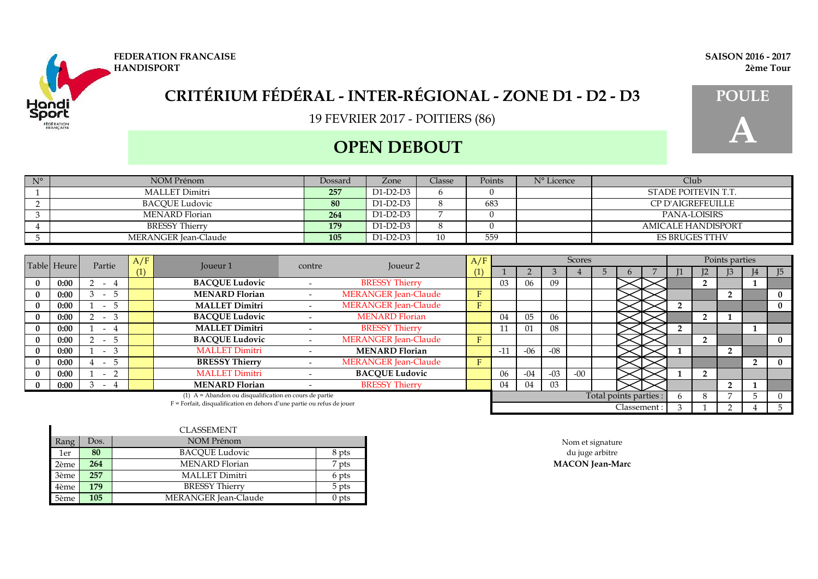

## **OPEN DEBOUT**

| <b>FEDERATION FRANCAISE</b> | <b>SAISON 2016 - 2017</b> |
|-----------------------------|---------------------------|
| <b>HANDISPORT</b>           | 2ème Tour                 |
|                             |                           |



| $N^{\circ}$ | NOM Prénom           | Dossard | Zone     | Classe | Points | N° Licence | Club                     |
|-------------|----------------------|---------|----------|--------|--------|------------|--------------------------|
|             | MALLET Dimitri       | 257     | D1-D2-D3 |        |        |            | STADE POITEVIN T.T.      |
|             | BACQUE Ludovic       | 80      | D1-D2-D3 |        | 683    |            | <b>CP D'AIGREFEUILLE</b> |
|             | MENARD Florian       | 264     | D1-D2-D3 |        |        |            | <b>PANA-LOISIRS</b>      |
|             | BRESSY Thierry       | 179     | D1-D2-D3 |        |        |            | AMICALE HANDISPORT       |
|             | MERANGER Jean-Claude | 105     | D1-D2-D3 | 10     | 559    |            | <b>ES BRUGES TTHV</b>    |

| Table Heure<br>Partie |      | A/F                           | Joueur <sub>1</sub> | contre                                                                 | Joueur 2 | A/F                         |     |             |       | Scores |       |                        |             |  | Points parties |  |              |
|-----------------------|------|-------------------------------|---------------------|------------------------------------------------------------------------|----------|-----------------------------|-----|-------------|-------|--------|-------|------------------------|-------------|--|----------------|--|--------------|
|                       |      |                               | (1)                 |                                                                        |          |                             | (1) |             |       |        |       |                        |             |  |                |  | J5           |
|                       | 0:00 | $-4$                          |                     | <b>BACQUE Ludovic</b>                                                  |          | <b>BRESSY Thierry</b>       |     | -03         | 06    | 09     |       |                        |             |  | 2              |  |              |
| $\bf{0}$              | 0:00 | 5<br>$\overline{\phantom{0}}$ |                     | <b>MENARD Florian</b>                                                  |          | <b>MERANGER Jean-Claude</b> | F   |             |       |        |       |                        |             |  |                |  | $\mathbf{0}$ |
| $\mathbf{0}$          | 0:00 | 5 <sup>5</sup><br>$\sim$      |                     | <b>MALLET Dimitri</b>                                                  |          | <b>MERANGER Jean-Claude</b> | F   |             |       |        |       |                        |             |  |                |  | $\bf{0}$     |
|                       | 0:00 | $\mathcal{E}$<br>$\sim$       |                     | <b>BACQUE Ludovic</b>                                                  |          | <b>MENARD Florian</b>       |     | 04          | 05    | 06     |       |                        |             |  | 2              |  |              |
| $\bf{0}$              | 0:00 | 4<br>$\sim$                   |                     | <b>MALLET Dimitri</b>                                                  |          | <b>BRESSY Thierry</b>       |     | 11<br>$\pm$ | 01    | 08     |       |                        |             |  |                |  |              |
|                       | 0:00 | 5 <sup>5</sup><br>$\sim$      |                     | <b>BACQUE Ludovic</b>                                                  |          | <b>MERANGER Jean-Claude</b> | F   |             |       |        |       |                        |             |  | $\overline{2}$ |  | $\bf{0}$     |
|                       | 0:00 | 3<br>$\overline{a}$           |                     | <b>MALLET Dimitri</b>                                                  |          | <b>MENARD Florian</b>       |     | $-11$       | $-06$ | -08    |       |                        |             |  |                |  |              |
| $\bf{0}$              | 0:00 | $\mathcal{D}$<br>$\sim$       |                     | <b>BRESSY Thierry</b>                                                  |          | <b>MERANGER Jean-Claude</b> | F   |             |       |        |       |                        |             |  |                |  | $\mathbf{0}$ |
|                       | 0:00 | $\sim$                        |                     | <b>MALLET Dimitri</b>                                                  |          | <b>BACQUE Ludovic</b>       |     | 06          | $-04$ | $-03$  | $-00$ |                        |             |  | $\overline{2}$ |  |              |
|                       | 0:00 | $-4$                          |                     | <b>MENARD Florian</b>                                                  |          | <b>BRESSY Thierry</b>       |     | 04          | 04    | 03     |       |                        |             |  |                |  |              |
|                       |      |                               |                     | (1) $A =$ Abandon ou disqualification en cours de partie               |          |                             |     |             |       |        |       | Total points parties : |             |  | 8              |  |              |
|                       |      |                               |                     | F = Forfait, disqualification en dehors d'une partie ou refus de jouer |          |                             |     |             |       |        |       |                        | Classement: |  |                |  |              |

|      |      | CLASSEMENT            |                  |                        |
|------|------|-----------------------|------------------|------------------------|
| Rang | Dos. | NOM Prénom            |                  | Nom et signature       |
| 1er  | 80   | <b>BACOUE Ludovic</b> | 8 pts            | du juge arbitre        |
| 2ème | 264  | <b>MENARD</b> Florian | <sup>7</sup> pts | <b>MACON</b> Jean-Marc |
| 3ème | 257  | MALLET Dimitri        | 6 pts            |                        |
| 4ème | 179  | <b>BRESSY Thierry</b> | 5 pts            |                        |
| 5ème | 105  | MERANGER Jean-Claude  | $0$ pts          |                        |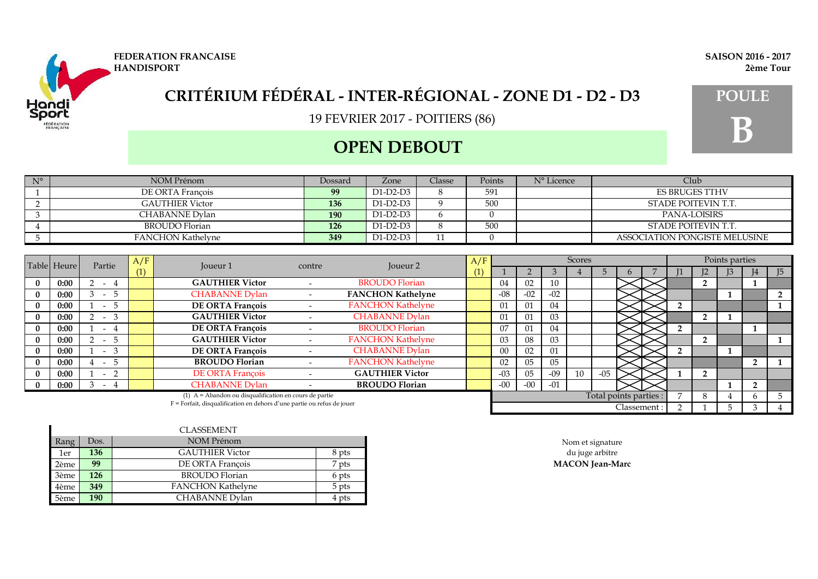

### **OPEN DEBOUT**

| $N^{\circ}$ | NOM Prénom               | Dossard | Zone     | Classe | Points | N° Licence | Club.                         |
|-------------|--------------------------|---------|----------|--------|--------|------------|-------------------------------|
|             | DE ORTA François         | 99      | D1-D2-D3 |        | 591    |            | <b>ES BRUGES TTHV</b>         |
|             | <b>GAUTHIER Victor</b>   | 136     | D1-D2-D3 |        | 500    |            | STADE POITEVIN T.T.           |
|             | CHABANNE Dylan           | 190     | D1-D2-D3 |        |        |            | PANA-LOISIRS                  |
|             | BROUDO Florian           | 126     | D1-D2-D3 |        | 500    |            | STADE POITEVIN T.T.           |
|             | <b>FANCHON Kathelyne</b> | 349     | D1-D2-D3 |        |        |            | ASSOCIATION PONGISTE MELUSINE |

| Table Heure<br>Partie                                                    | A/F  | <b>Joueur 1</b>                 | contre | Joueur <sub>2</sub>                                      | A/F |                          |     |                | Scores |                |    |             |                        | Points parties |                   |  |              |                |
|--------------------------------------------------------------------------|------|---------------------------------|--------|----------------------------------------------------------|-----|--------------------------|-----|----------------|--------|----------------|----|-------------|------------------------|----------------|-------------------|--|--------------|----------------|
|                                                                          |      |                                 | (1)    |                                                          |     |                          | (1) |                |        |                |    |             |                        |                | $12 \ \mathrm{I}$ |  |              | $\overline{5}$ |
|                                                                          | 0:00 | $-4$                            |        | <b>GAUTHIER Victor</b>                                   |     | <b>BROUDO Florian</b>    |     | 04             | 02     | 10             |    |             |                        |                | $\overline{2}$    |  |              |                |
| $\bf{0}$                                                                 | 0:00 | 5<br>$\overline{a}$             |        | <b>CHABANNE Dylan</b>                                    |     | <b>FANCHON Kathelyne</b> |     | $-08$          | $-02$  | $-02$          |    |             |                        |                |                   |  |              |                |
| $\mathbf{0}$                                                             | 0:00 | 5<br>$\overline{\phantom{0}}$   |        | <b>DE ORTA François</b>                                  |     | <b>FANCHON Kathelyne</b> |     | 01             | 01     | 04             |    |             |                        |                |                   |  |              |                |
|                                                                          | 0:00 | 3<br>$\sim$                     |        | <b>GAUTHIER Victor</b>                                   |     | <b>CHABANNE Dylan</b>    |     | $_{01}$        | 01     | 0 <sub>3</sub> |    |             |                        |                | $\overline{2}$    |  |              |                |
| $\bf{0}$                                                                 | 0:00 | 4<br>$\sim$                     |        | DE ORTA François                                         |     | <b>BROUDO Florian</b>    |     | 07             | 01     | 04             |    |             |                        |                |                   |  |              |                |
|                                                                          | 0:00 | 5<br>$\sim$                     |        | <b>GAUTHIER Victor</b>                                   |     | <b>FANCHON Kathelyne</b> |     | 03             | 08     | 03             |    |             |                        |                | $\overline{2}$    |  |              |                |
|                                                                          | 0:00 | 3<br>$\sim$                     |        | DE ORTA François                                         |     | <b>CHABANNE Dylan</b>    |     | 0 <sup>0</sup> | 02     | 01             |    |             |                        |                |                   |  |              |                |
| $_{0}$                                                                   | 0:00 | $\mathcal{D}$<br>$\sim$         |        | <b>BROUDO Florian</b>                                    |     | <b>FANCHON Kathelyne</b> |     | 02             | 05     | 05             |    |             |                        |                |                   |  |              |                |
|                                                                          | 0:00 | - 2<br>$\overline{\phantom{0}}$ |        | <b>DE ORTA François</b>                                  |     | <b>GAUTHIER Victor</b>   |     | $-03$          | 05     | -09            | 10 | $-05$       |                        |                | 2                 |  |              |                |
|                                                                          | 0:00 | $-4$                            |        | <b>CHABANNE Dylan</b>                                    |     | <b>BROUDO</b> Florian    |     | $-00$          | $-00$  | $-01$          |    |             |                        |                |                   |  |              |                |
|                                                                          |      |                                 |        | $(1)$ A = Abandon ou disqualification en cours de partie |     |                          |     |                |        |                |    |             | Total points parties : |                | 8                 |  | <sub>t</sub> |                |
| $F =$ Forfait, disqualification en dehors d'une partie ou refus de jouer |      |                                 |        |                                                          |     |                          |     |                |        |                |    | Classement: |                        |                |                   |  |              |                |

|      |      | CLASSEMENT               |                  |                        |
|------|------|--------------------------|------------------|------------------------|
| Rang | Dos. | NOM Prénom               |                  | Nom et signature       |
| 1er  | 136  | <b>GAUTHIER Victor</b>   | 8 pts            | du juge arbitre        |
| 2ème | 99   | DE ORTA Francois         | <sup>7</sup> pts | <b>MACON</b> Jean-Marc |
| 3ème | 126  | BROUDO Florian           | 6 pts            |                        |
| 4ème | 349  | <b>FANCHON Kathelyne</b> | 5 pts            |                        |
| 5ème | 190  | CHABANNE Dylan           | 4 pts            |                        |

**FEDERATION FRANCAISE SAISON 2016 - 2017 HANDISPORT 2ème Tour**

# **B**

**EDERATIC**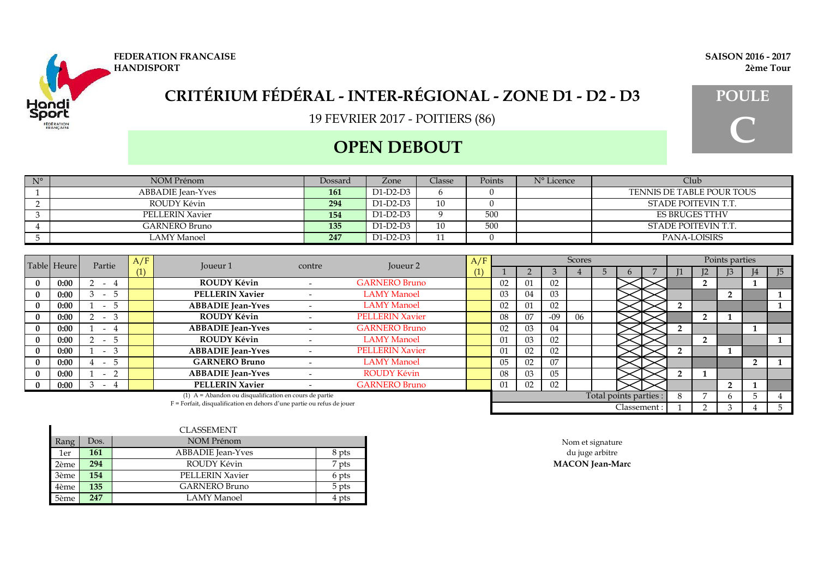

## **OPEN DEBOUT**

| $N^{\circ}$ | NOM Prénom             | Dossard | Zone       | Classe | Points | N° Licence | Club                      |
|-------------|------------------------|---------|------------|--------|--------|------------|---------------------------|
|             | ABBADIE Jean-Yves      | 161     | D1-D2-D3   |        |        |            | TENNIS DE TABLE POUR TOUS |
|             | ROUDY Kévin            | 294     | $D1-D2-D3$ | 10     |        |            | STADE POITEVIN T.T.       |
|             | <b>PELLERIN Xavier</b> | 154     | D1-D2-D3   |        | 500    |            | <b>ES BRUGES TTHV</b>     |
|             | GARNERO Bruno          | 135     | D1-D2-D3   | 10     | 500    |            | STADE POITEVIN T.T.       |
|             | LAMY Manoel            | 247     | D1-D2-D3   |        |        |            | PANA-LOISIRS              |

|          | Table Heure<br>Partie |                                       | A/F | Joueur 1                                                                 | contre | Joueur <sub>2</sub>    | A/F |    |    |                | <b>Scores</b> |                        |              |  |                | Points parties |                |
|----------|-----------------------|---------------------------------------|-----|--------------------------------------------------------------------------|--------|------------------------|-----|----|----|----------------|---------------|------------------------|--------------|--|----------------|----------------|----------------|
|          |                       |                                       |     |                                                                          |        |                        | U   |    |    |                |               |                        |              |  |                |                | $\overline{5}$ |
| $\bf{0}$ | 0:00                  | $-4$                                  |     | <b>ROUDY Kévin</b>                                                       |        | <b>GARNERO Bruno</b>   |     | 02 | 01 | 02             |               |                        |              |  | 2              |                |                |
|          | 0:00                  | $\sim$<br>- 3                         |     | <b>PELLERIN Xavier</b>                                                   |        | <b>LAMY Manoel</b>     |     | 03 | 04 | 03             |               |                        |              |  |                |                |                |
|          | 0:00                  | 5<br>$\sim$                           |     | <b>ABBADIE</b> Jean-Yves                                                 |        | <b>LAMY Manoel</b>     |     | 02 | 01 | 02             |               |                        |              |  |                |                |                |
|          | 0:00                  | 3<br>$\sim$                           |     | ROUDY Kévin                                                              |        | <b>PELLERIN Xavier</b> |     | 08 | 07 | $-09$          | 06            |                        |              |  | $\overline{2}$ |                |                |
|          | 0:00                  | -4<br>$\sim$                          |     | <b>ABBADIE</b> Jean-Yves                                                 |        | <b>GARNERO Bruno</b>   |     | 02 | 03 | 04             |               |                        |              |  |                |                |                |
|          | 0:00                  | 5<br>$\sim$                           |     | ROUDY Kévin                                                              |        | <b>LAMY Manoel</b>     |     | 01 | 03 | 02             |               |                        |              |  | $\overline{2}$ |                |                |
|          | 0:00                  | 3<br>$\sim$                           |     | <b>ABBADIE</b> Jean-Yves                                                 |        | <b>PELLERIN Xavier</b> |     | 01 | 02 | 02             |               |                        |              |  |                |                |                |
|          | 0:00                  | Ċ<br>$\sim$                           |     | <b>GARNERO Bruno</b>                                                     |        | <b>LAMY Manoel</b>     |     | 05 | 02 | 07             |               |                        |              |  |                |                |                |
|          | 0:00                  | $\mathcal{D}$<br>$\sim 100$ m $^{-1}$ |     | <b>ABBADIE</b> Jean-Yves                                                 |        | <b>ROUDY Kévin</b>     |     | 08 | 03 | 0 <sub>5</sub> |               |                        |              |  |                |                |                |
|          | 0:00                  | -3<br>- 4                             |     | <b>PELLERIN Xavier</b>                                                   |        | <b>GARNERO Bruno</b>   |     | 01 | 02 | 02             |               |                        |              |  |                |                |                |
|          |                       |                                       |     | $(1)$ A = Abandon ou disqualification en cours de partie                 |        |                        |     |    |    |                |               | Total points parties : |              |  |                |                |                |
|          |                       |                                       |     | $F =$ Forfait, disqualification en dehors d'une partie ou refus de jouer |        |                        |     |    |    |                |               |                        | Classement : |  |                |                |                |

|      |      | CLASSEMENT               |       |
|------|------|--------------------------|-------|
| Rang | Dos. | NOM Prénom               |       |
| 1er  | 161  | <b>ABBADIE</b> Jean-Yves | 8 pts |
| 2ème | 294  | ROUDY Kévin              | 7 pts |
| 3ème | 154  | <b>PELLERIN Xavier</b>   | 6 pts |
| 4ème | 135  | GARNERO Bruno            | 5 pts |
| 5ème | 247  | LAMY Manoel              | 4 pts |

**C**



#### **FEDERATION FRANCAISE SAISON 2016 - 2017 HANDISPORT 2ème Tour**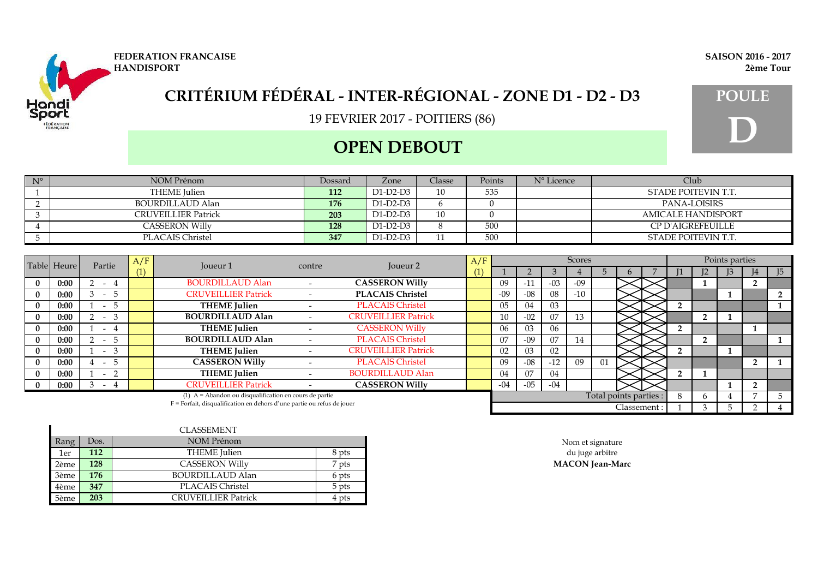

### **OPEN DEBOUT**

| $N^{\circ}$ | NOM Prénom            | Dossard | Zone     | Classe | Points | N° Licence | Club                      |
|-------------|-----------------------|---------|----------|--------|--------|------------|---------------------------|
|             | THEME Julien          | 112     | D1-D2-D3 | 10     | 535    |            | STADE POITEVIN T.T.       |
|             | BOURDILLAUD Alan      | 176     | D1-D2-D3 |        |        |            | PANA-LOISIRS              |
|             | CRUVEILLIER Patrick   | 203     | D1-D2-D3 | 10     |        |            | <b>AMICALE HANDISPORT</b> |
|             | <b>CASSERON Willy</b> | 128     | D1-D2-D3 |        | 500    |            | <b>CP D'AIGREFEUILLE</b>  |
|             | PLACAIS Christel      | 347     | D1-D2-D3 |        | 500    |            | STADE POITEVIN T.T.       |

| Partie<br>Table Heure                                                    |      | A/F                     | Toueur 1 | contre                                                   | Joueur <sub>2</sub> | A/F                        |     |                |       | Scores |       |             |                        |  | Points parties |  |                |
|--------------------------------------------------------------------------|------|-------------------------|----------|----------------------------------------------------------|---------------------|----------------------------|-----|----------------|-------|--------|-------|-------------|------------------------|--|----------------|--|----------------|
|                                                                          |      |                         | (1)      |                                                          |                     |                            | (1) |                |       |        |       |             |                        |  |                |  | I <sub>5</sub> |
|                                                                          | 0:00 | $-4$                    |          | <b>BOURDILLAUD Alan</b>                                  |                     | <b>CASSERON Willy</b>      |     | 09             | $-11$ | $-03$  | $-09$ |             |                        |  |                |  |                |
|                                                                          | 0:00 | $\mathcal{D}$<br>$\sim$ |          | <b>CRUVEILLIER Patrick</b>                               |                     | <b>PLACAIS Christel</b>    |     | $-09$          | $-08$ | 08     | $-10$ |             |                        |  |                |  |                |
|                                                                          | 0:00 | -5<br>$\sim$            |          | <b>THEME</b> Julien                                      |                     | <b>PLACAIS Christel</b>    |     | 0 <sub>5</sub> | 04    | 03     |       |             |                        |  |                |  |                |
|                                                                          | 0:00 | -3<br>$\sim$            |          | <b>BOURDILLAUD Alan</b>                                  |                     | <b>CRUVEILLIER Patrick</b> |     | 10             | $-02$ | 07     | 13    |             |                        |  | $\mathbf{2}$   |  |                |
|                                                                          | 0:00 | $\sim$                  |          | <b>THEME</b> Julien                                      |                     | <b>CASSERON Willy</b>      |     | 06             | 03    | 06     |       |             |                        |  |                |  |                |
|                                                                          | 0:00 | $-5$                    |          | <b>BOURDILLAUD Alan</b>                                  |                     | <b>PLACAIS Christel</b>    |     | 07             | $-09$ | 07     | 14    |             |                        |  | 2              |  |                |
|                                                                          | 0:00 | -3<br>$\sim$            |          | <b>THEME</b> Julien                                      |                     | <b>CRUVEILLIER Patrick</b> |     | 02             | 03    | 02     |       |             |                        |  |                |  |                |
|                                                                          | 0:00 | - 5<br>$\sim$           |          | <b>CASSERON Willy</b>                                    |                     | <b>PLACAIS Christel</b>    |     | 09             | $-08$ | $-12$  | 09    | 01          |                        |  |                |  |                |
|                                                                          | 0:00 | $\sim$                  |          | <b>THEME</b> Julien                                      |                     | <b>BOURDILLAUD Alan</b>    |     | 04             | 07    | 04     |       |             |                        |  |                |  |                |
|                                                                          | 0:00 | $-4$                    |          | <b>CRUVEILLIER Patrick</b>                               |                     | <b>CASSERON Willy</b>      |     | $-04$          | $-05$ | $-04$  |       |             |                        |  |                |  |                |
|                                                                          |      |                         |          | $(1)$ A = Abandon ou disqualification en cours de partie |                     |                            |     |                |       |        |       |             | Total points parties : |  | <sub>t</sub>   |  |                |
| $F =$ Forfait, disqualification en dehors d'une partie ou refus de jouer |      |                         |          |                                                          |                     |                            |     |                |       |        |       | Classement: |                        |  |                |  |                |

|      |      | CLASSEMENT          |       |                        |
|------|------|---------------------|-------|------------------------|
| Rang | Dos. | NOM Prénom          |       | Nom et signature       |
| 1er  | 112  | THEME Julien        | 8 pts | du juge arbitre        |
| 2ème | 128  | CASSERON Willy      | 7 pts | <b>MACON</b> Jean-Marc |
| 3ème | 176  | BOURDILLAUD Alan    | 6 pts |                        |
| 4ème | 347  | PLACAIS Christel    | 5 pts |                        |
| 5ème | 203  | CRUVEILLIER Patrick | 4 pts |                        |

**FEDERATION FRANCAISE SAISON 2016 - 2017 HANDISPORT 2ème Tour**

**D**

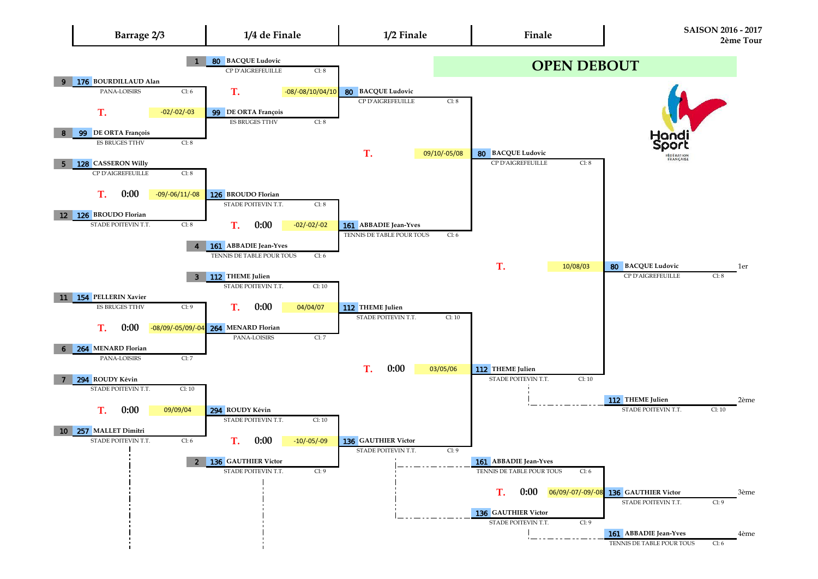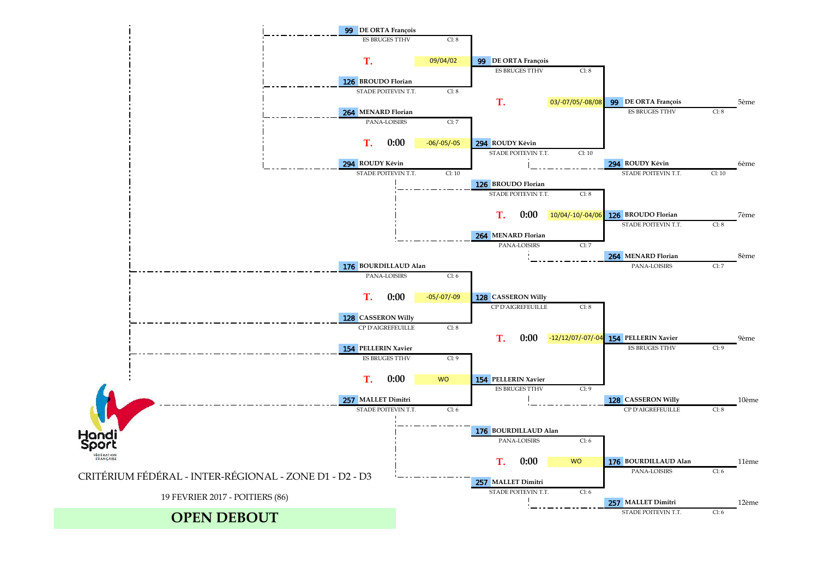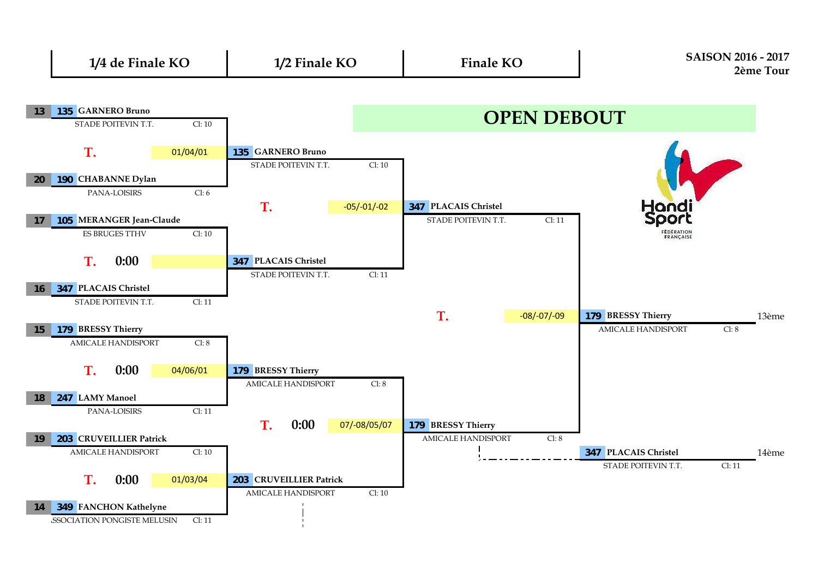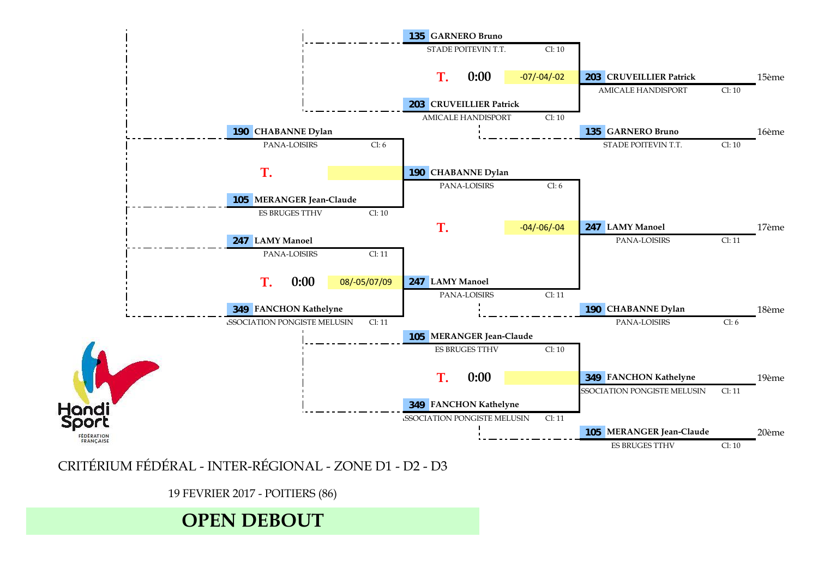

CRITÉRIUM FÉDÉRAL - INTER-RÉGIONAL - ZONE D1 - D2 - D3

19 FEVRIER 2017 - POITIERS (86)

# **OPEN DEBOUT**